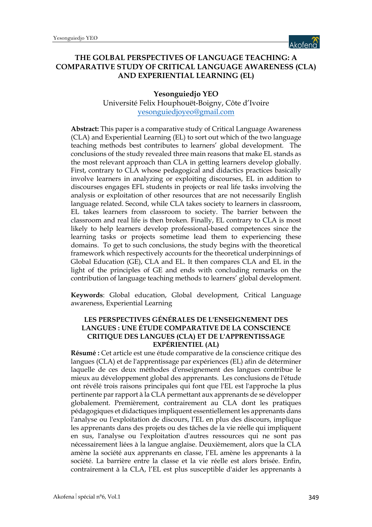

## **THE GOLBAL PERSPECTIVES OF LANGUAGE TEACHING: A COMPARATIVE STUDY OF CRITICAL LANGUAGE AWARENESS (CLA) AND EXPERIENTIAL LEARNING (EL)**

#### **Yesonguiedjo YEO**

Université Felix Houphouët-Boigny, Côte d'Ivoire yesonguiedjoyeo@gmail.com

**Abstract:** This paper is a comparative study of Critical Language Awareness (CLA) and Experiential Learning (EL) to sort out which of the two language teaching methods best contributes to learners' global development. The conclusions of the study revealed three main reasons that make EL stands as the most relevant approach than CLA in getting learners develop globally. First, contrary to CLA whose pedagogical and didactics practices basically involve learners in analyzing or exploiting discourses, EL in addition to discourses engages EFL students in projects or real life tasks involving the analysis or exploitation of other resources that are not necessarily English language related. Second, while CLA takes society to learners in classroom, EL takes learners from classroom to society. The barrier between the classroom and real life is then broken. Finally, EL contrary to CLA is most likely to help learners develop professional-based competences since the learning tasks or projects sometime lead them to experiencing these domains. To get to such conclusions, the study begins with the theoretical framework which respectively accounts for the theoretical underpinnings of Global Education (GE), CLA and EL. It then compares CLA and EL in the light of the principles of GE and ends with concluding remarks on the contribution of language teaching methods to learners' global development.

**Keywords**: Global education, Global development, Critical Language awareness, Experiential Learning

#### **LES PERSPECTIVES GÉNÉRALES DE L'ENSEIGNEMENT DES LANGUES : UNE ÉTUDE COMPARATIVE DE LA CONSCIENCE CRITIQUE DES LANGUES (CLA) ET DE L'APPRENTISSAGE EXPÉRIENTIEL (AL)**

**Résumé :** Cet article est une étude comparative de la conscience critique des langues (CLA) et de l'apprentissage par expériences (EL) afin de déterminer laquelle de ces deux méthodes d'enseignement des langues contribue le mieux au développement global des apprenants. Les conclusions de l'étude ont révélé trois raisons principales qui font que l'EL est l'approche la plus pertinente par rapport à la CLA permettant aux apprenants de se développer globalement. Premièrement, contrairement au CLA dont les pratiques pédagogiques et didactiques impliquent essentiellement les apprenants dans l'analyse ou l'exploitation de discours, l'EL en plus des discours, implique les apprenants dans des projets ou des tâches de la vie réelle qui impliquent en sus, l'analyse ou l'exploitation d'autres ressources qui ne sont pas nécessairement liées à la langue anglaise. Deuxièmement, alors que la CLA amène la société aux apprenants en classe, l'EL amène les apprenants à la société. La barrière entre la classe et la vie réelle est alors brisée. Enfin, contrairement à la CLA, l'EL est plus susceptible d'aider les apprenants à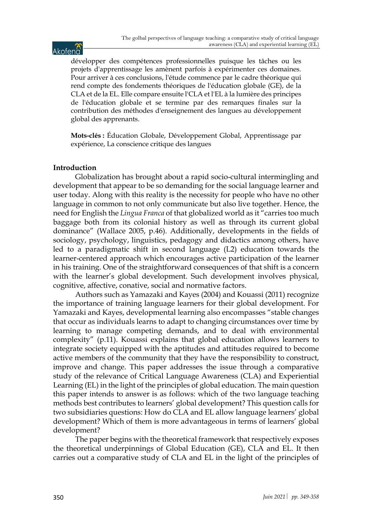# Akofend

développer des compétences professionnelles puisque les tâches ou les projets d'apprentissage les amènent parfois à expérimenter ces domaines. Pour arriver à ces conclusions, l'étude commence par le cadre théorique qui rend compte des fondements théoriques de l'éducation globale (GE), de la CLA et de la EL. Elle compare ensuite l'CLA et l'EL à la lumière des principes de l'éducation globale et se termine par des remarques finales sur la contribution des méthodes d'enseignement des langues au développement global des apprenants.

**Mots-clés :** Éducation Globale, Développement Global, Apprentissage par expérience, La conscience critique des langues

#### **Introduction**

Globalization has brought about a rapid socio-cultural intermingling and development that appear to be so demanding for the social language learner and user today. Along with this reality is the necessity for people who have no other language in common to not only communicate but also live together. Hence, the need for English the *Lingua Franca* of that globalized world as it "carries too much baggage both from its colonial history as well as through its current global dominance" (Wallace 2005, p.46). Additionally, developments in the fields of sociology, psychology, linguistics, pedagogy and didactics among others, have led to a paradigmatic shift in second language (L2) education towards the learner-centered approach which encourages active participation of the learner in his training. One of the straightforward consequences of that shift is a concern with the learner's global development. Such development involves physical, cognitive, affective, conative, social and normative factors.

Authors such as Yamazaki and Kayes (2004) and Kouassi (2011) recognize the importance of training language learners for their global development. For Yamazaki and Kayes, developmental learning also encompasses "stable changes that occur as individuals learns to adapt to changing circumstances over time by learning to manage competing demands, and to deal with environmental complexity" (p.11). Kouassi explains that global education allows learners to integrate society equipped with the aptitudes and attitudes required to become active members of the community that they have the responsibility to construct, improve and change. This paper addresses the issue through a comparative study of the relevance of Critical Language Awareness (CLA) and Experiential Learning (EL) in the light of the principles of global education. The main question this paper intends to answer is as follows: which of the two language teaching methods best contributes to learners' global development? This question calls for two subsidiaries questions: How do CLA and EL allow language learners' global development? Which of them is more advantageous in terms of learners' global development?

The paper begins with the theoretical framework that respectively exposes the theoretical underpinnings of Global Education (GE), CLA and EL. It then carries out a comparative study of CLA and EL in the light of the principles of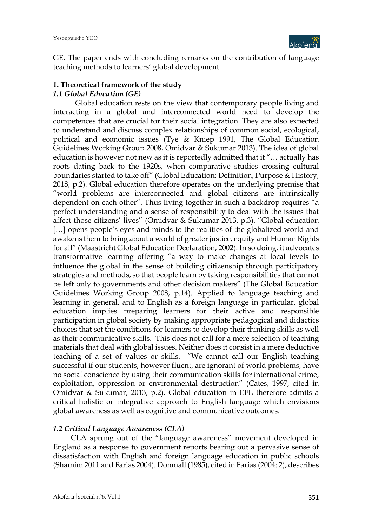

GE. The paper ends with concluding remarks on the contribution of language teaching methods to learners' global development.

## **1. Theoretical framework of the study**

#### *1.1 Global Education (GE)*

Global education rests on the view that contemporary people living and interacting in a global and interconnected world need to develop the competences that are crucial for their social integration. They are also expected to understand and discuss complex relationships of common social, ecological, political and economic issues (Tye & Kniep 1991, The Global Education Guidelines Working Group 2008, Omidvar & Sukumar 2013). The idea of global education is however not new as it is reportedly admitted that it "… actually has roots dating back to the 1920s, when comparative studies crossing cultural boundaries started to take off" (Global Education: Definition, Purpose & History, 2018, p.2). Global education therefore operates on the underlying premise that "world problems are interconnected and global citizens are intrinsically dependent on each other". Thus living together in such a backdrop requires "a perfect understanding and a sense of responsibility to deal with the issues that affect those citizens' lives" (Omidvar & Sukumar 2013, p.3). "Global education [...] opens people's eyes and minds to the realities of the globalized world and awakens them to bring about a world of greater justice, equity and Human Rights for all" (Maastricht Global Education Declaration, 2002). In so doing, it advocates transformative learning offering "a way to make changes at local levels to influence the global in the sense of building citizenship through participatory strategies and methods, so that people learn by taking responsibilities that cannot be left only to governments and other decision makers" (The Global Education Guidelines Working Group 2008, p.14). Applied to language teaching and learning in general, and to English as a foreign language in particular, global education implies preparing learners for their active and responsible participation in global society by making appropriate pedagogical and didactics choices that set the conditions for learners to develop their thinking skills as well as their communicative skills. This does not call for a mere selection of teaching materials that deal with global issues. Neither does it consist in a mere deductive teaching of a set of values or skills. "We cannot call our English teaching successful if our students, however fluent, are ignorant of world problems, have no social conscience by using their communication skills for international crime, exploitation, oppression or environmental destruction" (Cates, 1997, cited in Omidvar & Sukumar, 2013, p.2). Global education in EFL therefore admits a critical holistic or integrative approach to English language which envisions global awareness as well as cognitive and communicative outcomes.

#### *1.2 Critical Language Awareness (CLA)*

CLA sprung out of the "language awareness" movement developed in England as a response to government reports bearing out a pervasive sense of dissatisfaction with English and foreign language education in public schools (Shamim 2011 and Farias 2004). Donmall (1985), cited in Farias (2004: 2), describes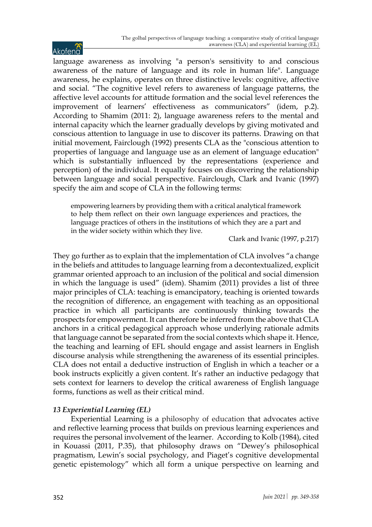language awareness as involving "a person's sensitivity to and conscious awareness of the nature of language and its role in human life". Language awareness, he explains, operates on three distinctive levels: cognitive, affective and social. "The cognitive level refers to awareness of language patterns, the affective level accounts for attitude formation and the social level references the improvement of learners' effectiveness as communicators" (idem, p.2). According to Shamim (2011: 2), language awareness refers to the mental and internal capacity which the learner gradually develops by giving motivated and conscious attention to language in use to discover its patterns. Drawing on that initial movement, Fairclough (1992) presents CLA as the "conscious attention to properties of language and language use as an element of language education" which is substantially influenced by the representations (experience and perception) of the individual. It equally focuses on discovering the relationship between language and social perspective. Fairclough, Clark and Ivanic (1997) specify the aim and scope of CLA in the following terms:

empowering learners by providing them with a critical analytical framework to help them reflect on their own language experiences and practices, the language practices of others in the institutions of which they are a part and in the wider society within which they live.

Clark and Ivanic (1997, p.217)

They go further as to explain that the implementation of CLA involves "a change in the beliefs and attitudes to language learning from a decontextualized, explicit grammar oriented approach to an inclusion of the political and social dimension in which the language is used" (idem). Shamim (2011) provides a list of three major principles of CLA: teaching is emancipatory, teaching is oriented towards the recognition of difference, an engagement with teaching as an oppositional practice in which all participants are continuously thinking towards the prospects for empowerment. It can therefore be inferred from the above that CLA anchors in a critical pedagogical approach whose underlying rationale admits that language cannot be separated from the social contexts which shape it. Hence, the teaching and learning of EFL should engage and assist learners in English discourse analysis while strengthening the awareness of its essential principles. CLA does not entail a deductive instruction of English in which a teacher or a book instructs explicitly a given content. It's rather an inductive pedagogy that sets context for learners to develop the critical awareness of English language forms, functions as well as their critical mind.

## *13 Experiential Learning (EL)*

Experiential Learning is a philosophy of education that advocates active and reflective learning process that builds on previous learning experiences and requires the personal involvement of the learner. According to Kolb (1984), cited in Kouassi (2011, P.35), that philosophy draws on "Dewey's philosophical pragmatism, Lewin's social psychology, and Piaget's cognitive developmental genetic epistemology" which all form a unique perspective on learning and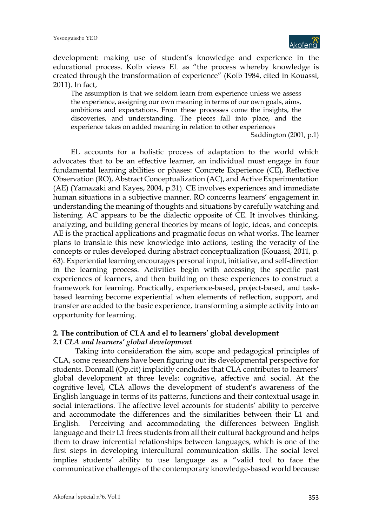

development: making use of student's knowledge and experience in the educational process. Kolb views EL as "the process whereby knowledge is created through the transformation of experience" (Kolb 1984, cited in Kouassi, 2011). In fact,

The assumption is that we seldom learn from experience unless we assess the experience, assigning our own meaning in terms of our own goals, aims, ambitions and expectations. From these processes come the insights, the discoveries, and understanding. The pieces fall into place, and the experience takes on added meaning in relation to other experiences

Saddington (2001, p.1)

EL accounts for a holistic process of adaptation to the world which advocates that to be an effective learner, an individual must engage in four fundamental learning abilities or phases: Concrete Experience (CE), Reflective Observation (RO), Abstract Conceptualization (AC), and Active Experimentation (AE) (Yamazaki and Kayes, 2004, p.31). CE involves experiences and immediate human situations in a subjective manner. RO concerns learners' engagement in understanding the meaning of thoughts and situations by carefully watching and listening. AC appears to be the dialectic opposite of CE. It involves thinking, analyzing, and building general theories by means of logic, ideas, and concepts. AE is the practical applications and pragmatic focus on what works. The learner plans to translate this new knowledge into actions, testing the veracity of the concepts or rules developed during abstract conceptualization (Kouassi, 2011, p. 63). Experiential learning encourages personal input, initiative, and self-direction in the learning process. Activities begin with accessing the specific past experiences of learners, and then building on these experiences to construct a framework for learning. Practically, experience-based, project-based, and taskbased learning become experiential when elements of reflection, support, and transfer are added to the basic experience, transforming a simple activity into an opportunity for learning.

#### **2. The contribution of CLA and el to learners' global development** *2.1 CLA and learners' global development*

Taking into consideration the aim, scope and pedagogical principles of CLA, some researchers have been figuring out its developmental perspective for students. Donmall (Op.cit) implicitly concludes that CLA contributes to learners' global development at three levels: cognitive, affective and social. At the cognitive level, CLA allows the development of student's awareness of the English language in terms of its patterns, functions and their contextual usage in social interactions. The affective level accounts for students' ability to perceive and accommodate the differences and the similarities between their L1 and English. Perceiving and accommodating the differences between English language and their L1 frees students from all their cultural background and helps them to draw inferential relationships between languages, which is one of the first steps in developing intercultural communication skills. The social level implies students' ability to use language as a "valid tool to face the communicative challenges of the contemporary knowledge-based world because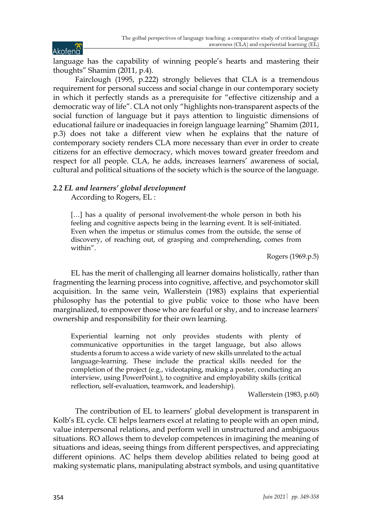language has the capability of winning people's hearts and mastering their thoughts" Shamim (2011, p.4).

Fairclough (1995, p.222) strongly believes that CLA is a tremendous requirement for personal success and social change in our contemporary society in which it perfectly stands as a prerequisite for "effective citizenship and a democratic way of life". CLA not only "highlights non-transparent aspects of the social function of language but it pays attention to linguistic dimensions of educational failure or inadequacies in foreign language learning" Shamim (2011, p.3) does not take a different view when he explains that the nature of contemporary society renders CLA more necessary than ever in order to create citizens for an effective democracy, which moves toward greater freedom and respect for all people. CLA, he adds, increases learners' awareness of social, cultural and political situations of the society which is the source of the language.

## *2.2 EL and learners' global development*

According to Rogers, EL :

[...] has a quality of personal involvement-the whole person in both his feeling and cognitive aspects being in the learning event. It is self-initiated. Even when the impetus or stimulus comes from the outside, the sense of discovery, of reaching out, of grasping and comprehending, comes from within".

Rogers (1969.p.5)

EL has the merit of challenging all learner domains holistically, rather than fragmenting the learning process into cognitive, affective, and psychomotor skill acquisition. In the same vein, Wallerstein (1983) explains that experiential philosophy has the potential to give public voice to those who have been marginalized, to empower those who are fearful or shy, and to increase learners' ownership and responsibility for their own learning.

Experiential learning not only provides students with plenty of communicative opportunities in the target language, but also allows students a forum to access a wide variety of new skills unrelated to the actual language-learning. These include the practical skills needed for the completion of the project (e.g., videotaping, making a poster, conducting an interview, using PowerPoint.), to cognitive and employability skills (critical reflection, self-evaluation, teamwork, and leadership).

Wallerstein (1983, p.60)

The contribution of EL to learners' global development is transparent in Kolb's EL cycle. CE helps learners excel at relating to people with an open mind, value interpersonal relations, and perform well in unstructured and ambiguous situations. RO allows them to develop competences in imagining the meaning of situations and ideas, seeing things from different perspectives, and appreciating different opinions. AC helps them develop abilities related to being good at making systematic plans, manipulating abstract symbols, and using quantitative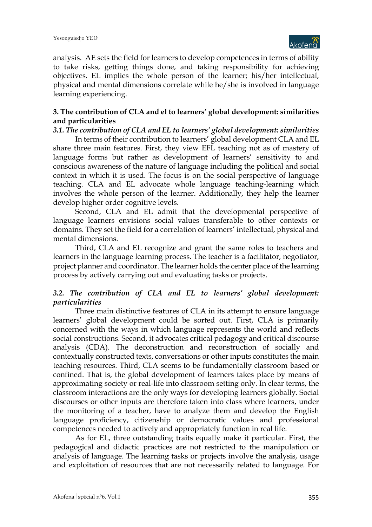

analysis. AE sets the field for learners to develop competences in terms of ability to take risks, getting things done, and taking responsibility for achieving objectives. EL implies the whole person of the learner; his/her intellectual, physical and mental dimensions correlate while he/she is involved in language learning experiencing.

## **3. The contribution of CLA and el to learners' global development: similarities and particularities**

*3.1. The contribution of CLA and EL to learners' global development: similarities* In terms of their contribution to learners' global development CLA and EL share three main features. First, they view EFL teaching not as of mastery of language forms but rather as development of learners' sensitivity to and conscious awareness of the nature of language including the political and social context in which it is used. The focus is on the social perspective of language teaching. CLA and EL advocate whole language teaching-learning which involves the whole person of the learner. Additionally, they help the learner develop higher order cognitive levels.

Second, CLA and EL admit that the developmental perspective of language learners envisions social values transferable to other contexts or domains. They set the field for a correlation of learners' intellectual, physical and mental dimensions.

Third, CLA and EL recognize and grant the same roles to teachers and learners in the language learning process. The teacher is a facilitator, negotiator, project planner and coordinator. The learner holds the center place of the learning process by actively carrying out and evaluating tasks or projects.

## *3.2. The contribution of CLA and EL to learners' global development: particularities*

Three main distinctive features of CLA in its attempt to ensure language learners' global development could be sorted out. First, CLA is primarily concerned with the ways in which language represents the world and reflects social constructions. Second, it advocates critical pedagogy and critical discourse analysis (CDA). The deconstruction and reconstruction of socially and contextually constructed texts, conversations or other inputs constitutes the main teaching resources. Third, CLA seems to be fundamentally classroom based or confined. That is, the global development of learners takes place by means of approximating society or real-life into classroom setting only. In clear terms, the classroom interactions are the only ways for developing learners globally. Social discourses or other inputs are therefore taken into class where learners, under the monitoring of a teacher, have to analyze them and develop the English language proficiency, citizenship or democratic values and professional competences needed to actively and appropriately function in real life.

As for EL, three outstanding traits equally make it particular. First, the pedagogical and didactic practices are not restricted to the manipulation or analysis of language. The learning tasks or projects involve the analysis, usage and exploitation of resources that are not necessarily related to language. For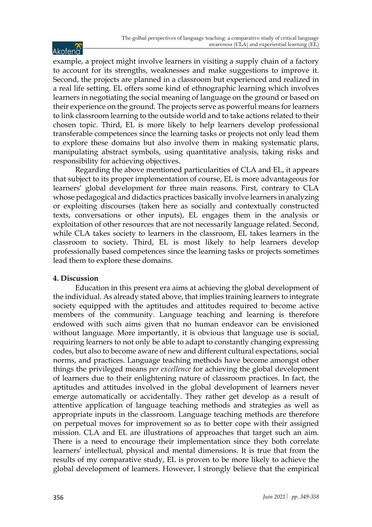example, a project might involve learners in visiting a supply chain of a factory to account for its strengths, weaknesses and make suggestions to improve it. Second, the projects are planned in a classroom but experienced and realized in a real life setting. EL offers some kind of ethnographic learning which involves learners in negotiating the social meaning of language on the ground or based on their experience on the ground. The projects serve as powerful means for learners to link classroom learning to the outside world and to take actions related to their chosen topic. Third, EL is more likely to help learners develop professional transferable competences since the learning tasks or projects not only lead them to explore these domains but also involve them in making systematic plans, manipulating abstract symbols, using quantitative analysis, taking risks and responsibility for achieving objectives.

Regarding the above mentioned particularities of CLA and EL, it appears that subject to its proper implementation of course, EL is more advantageous for learners' global development for three main reasons. First, contrary to CLA whose pedagogical and didactics practices basically involve learners in analyzing or exploiting discourses (taken here as socially and contextually constructed texts, conversations or other inputs), EL engages them in the analysis or exploitation of other resources that are not necessarily language related. Second, while CLA takes society to learners in the classroom, EL takes learners in the classroom to society. Third, EL is most likely to help learners develop professionally based competences since the learning tasks or projects sometimes lead them to explore these domains.

## **4. Discussion**

Education in this present era aims at achieving the global development of the individual. As already stated above, that implies training learners to integrate society equipped with the aptitudes and attitudes required to become active members of the community. Language teaching and learning is therefore endowed with such aims given that no human endeavor can be envisioned without language. More importantly, it is obvious that language use is social, requiring learners to not only be able to adapt to constantly changing expressing codes, but also to become aware of new and different cultural expectations, social norms, and practices. Language teaching methods have become amongst other things the privileged means *per excellence* for achieving the global development of learners due to their enlightening nature of classroom practices. In fact, the aptitudes and attitudes involved in the global development of learners never emerge automatically or accidentally. They rather get develop as a result of attentive application of language teaching methods and strategies as well as appropriate inputs in the classroom. Language teaching methods are therefore on perpetual moves for improvement so as to better cope with their assigned mission. CLA and EL are illustrations of approaches that target such an aim. There is a need to encourage their implementation since they both correlate learners' intellectual, physical and mental dimensions. It is true that from the results of my comparative study, EL is proven to be more likely to achieve the global development of learners. However, I strongly believe that the empirical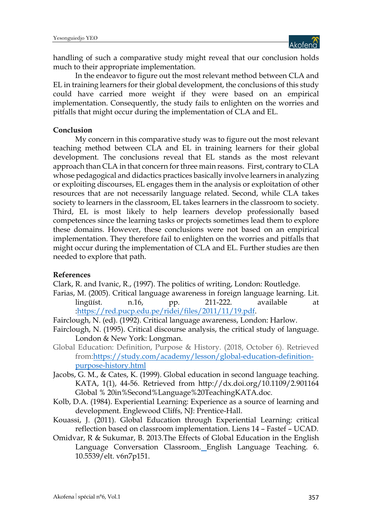

handling of such a comparative study might reveal that our conclusion holds much to their appropriate implementation.

In the endeavor to figure out the most relevant method between CLA and EL in training learners for their global development, the conclusions of this study could have carried more weight if they were based on an empirical implementation. Consequently, the study fails to enlighten on the worries and pitfalls that might occur during the implementation of CLA and EL.

#### **Conclusion**

My concern in this comparative study was to figure out the most relevant teaching method between CLA and EL in training learners for their global development. The conclusions reveal that EL stands as the most relevant approach than CLA in that concern for three main reasons. First, contrary to CLA whose pedagogical and didactics practices basically involve learners in analyzing or exploiting discourses, EL engages them in the analysis or exploitation of other resources that are not necessarily language related. Second, while CLA takes society to learners in the classroom, EL takes learners in the classroom to society. Third, EL is most likely to help learners develop professionally based competences since the learning tasks or projects sometimes lead them to explore these domains. However, these conclusions were not based on an empirical implementation. They therefore fail to enlighten on the worries and pitfalls that might occur during the implementation of CLA and EL. Further studies are then needed to explore that path.

#### **References**

Clark, R. and Ivanic, R., (1997). The politics of writing, London: Routledge.

- Farias, M. (2005). Critical language awareness in foreign language learning. Lit. lingüíst. n.16, pp. 211-222. available at :https://red.pucp.edu.pe/ridei/files/2011/11/19.pdf.
- Fairclough, N. (ed). (1992). Critical language awareness, London: Harlow.
- Fairclough, N. (1995). Critical discourse analysis, the critical study of language. London & New York: Longman.
- Global Education: Definition, Purpose & History. (2018, October 6). Retrieved from:https://study.com/academy/lesson/global-education-definitionpurpose-history.html
- Jacobs, G. M., & Cates, K. (1999). Global education in second language teaching. KATA, 1(1), 44-56. Retrieved from http://dx.doi.org/10.1109/2.901164 Global % 20in%Second%Language%20TeachingKATA.doc.
- Kolb, D.A. (1984). Experiential Learning: Experience as a source of learning and development. Englewood Cliffs, NJ: Prentice-Hall.
- Kouassi, J. (2011). Global Education through Experiential Learning: critical reflection based on classroom implementation. Liens 14 – Fastef – UCAD.
- Omidvar, R & Sukumar, B. 2013.The Effects of Global Education in the English Language Conversation Classroom. English Language Teaching. 6. 10.5539/elt. v6n7p151.